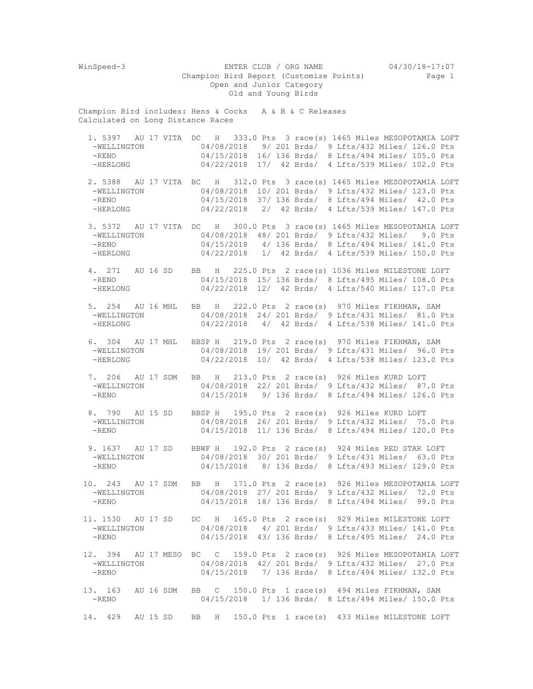WinSpeed-3 ENTER CLUB / ORG NAME 04/30/18-17:07 Champion Bird Report (Customize Points) Page 1 Open and Junior Category Old and Young Birds Champion Bird includes: Hens & Cocks A & B & C Releases Calculated on Long Distance Races 1. 5397 AU 17 VITA DC H 333.0 Pts 3 race(s) 1465 Miles MESOPOTAMIA LOFT -WELLINGTON 04/08/2018 9/ 201 Brds/ 9 Lfts/432 Miles/ 126.0 Pts -RENO 04/15/2018 16/ 136 Brds/ 8 Lfts/494 Miles/ 105.0 Pts -HERLONG 04/22/2018 17/ 42 Brds/ 4 Lfts/539 Miles/ 102.0 Pts 2. 5388 AU 17 VITA BC H 312.0 Pts 3 race(s) 1465 Miles MESOPOTAMIA LOFT 04/08/2018 10/ 201 Brds/ 9 Lfts/432 Miles/ 123.0 Pts -RENO 04/15/2018 37/ 136 Brds/ 8 Lfts/494 Miles/ 42.0 Pts -HERLONG 04/22/2018 2/ 42 Brds/ 4 Lfts/539 Miles/ 147.0 Pts 3. 5372 AU 17 VITA DC H 300.0 Pts 3 race(s) 1465 Miles MESOPOTAMIA LOFT -WELLINGTON 04/08/2018 48/ 201 Brds/ 9 Lfts/432 Miles/ 9.0 Pts<br>-RENO 04/15/2018 4/ 136 Brds/ 8 Lfts/494 Miles/ 141.0 Pts -RENO 04/15/2018 4/ 136 Brds/ 8 Lfts/494 Miles/ 141.0 Pts 04/22/2018 1/ 42 Brds/ 4 Lfts/539 Miles/ 150.0 Pts 4. 271 AU 16 SD BB H 225.0 Pts 2 race(s) 1036 Miles MILESTONE LOFT -RENO 04/15/2018 15/ 136 Brds/ 8 Lfts/495 Miles/ 108.0 Pts -HERLONG 04/22/2018 12/ 42 Brds/ 4 Lfts/540 Miles/ 117.0 Pts 5. 254 AU 16 MHL BB H 222.0 Pts 2 race(s) 970 Miles FIKHMAN, SAM 04/08/2018 24/ 201 Brds/ 9 Lfts/431 Miles/ 81.0 Pts -HERLONG 04/22/2018 4/ 42 Brds/ 4 Lfts/538 Miles/ 141.0 Pts 6. 304 AU 17 MHL BBSP H 219.0 Pts 2 race(s) 970 Miles FIKHMAN, SAM -WELLINGTON 04/08/2018 19/ 201 Brds/ 9 Lfts/431 Miles/ 96.0 Pts<br>-HERLONG 04/22/2018 10/ 42 Brds/ 4 Lfts/538 Miles/ 123.0 Pts 04/22/2018 10/ 42 Brds/ 4 Lfts/538 Miles/ 123.0 Pts 7. 206 AU 17 SDM BB H 213.0 Pts 2 race(s) 926 Miles KURD LOFT -WELLINGTON 04/08/2018 22/ 201 Brds/ 9 Lfts/432 Miles/ 87.0 Pts -RENO 04/15/2018 9/ 136 Brds/ 8 Lfts/494 Miles/ 126.0 Pts 8. 790 AU 15 SD BBSP H 195.0 Pts 2 race(s) 926 Miles KURD LOFT<br>-WELLINGTON 04/08/2018 26/ 201 Brds/ 9 Lfts/432 Miles/ 75 -WELLINGTON 04/08/2018 26/ 201 Brds/ 9 Lfts/432 Miles/ 75.0 Pts<br>-RENO 04/15/2018 11/ 136 Brds/ 8 Lfts/494 Miles/ 120.0 Pts 04/15/2018 11/ 136 Brds/ 8 Lfts/494 Miles/ 120.0 Pts 9. 1637 AU 17 SD BBWF H 192.0 Pts 2 race(s) 924 Miles RED STAR LOFT<br>-WELLINGTON 04/08/2018 30/201 Brds/ 9 Lfts/431 Miles/ 63.0 Pt 04/08/2018 30/ 201 Brds/ 9 Lfts/431 Miles/ 63.0 Pts -RENO 04/15/2018 8/ 136 Brds/ 8 Lfts/493 Miles/ 129.0 Pts 10. 243 AU 17 SDM BB H 171.0 Pts 2 race(s) 926 Miles MESOPOTAMIA LOFT -WELLINGTON 04/08/2018 27/ 201 Brds/ 9 Lfts/432 Miles/ 72.0 Pts -RENO 04/15/2018 18/ 136 Brds/ 8 Lfts/494 Miles/ 99.0 Pts 11. 1530 AU 17 SD DC H 165.0 Pts 2 race(s) 929 Miles MILESTONE LOFT -WELLINGTON 04/08/2018 4/ 201 Brds/ 9 Lfts/433 Miles/ 141.0 Pts -RENO 04/15/2018 43/ 136 Brds/ 8 Lfts/495 Miles/ 24.0 Pts 12. 394 AU 17 MESO BC C 159.0 Pts 2 race(s) 926 Miles MESOPOTAMIA LOFT -WELLINGTON 04/08/2018 42/ 201 Brds/ 9 Lfts/432 Miles/ 27.0 Pts -RENO 04/15/2018 7/ 136 Brds/ 8 Lfts/494 Miles/ 132.0 Pts 13. 163 AU 16 SDM BB C 150.0 Pts 1 race(s) 494 Miles FIKHMAN, SAM -RENO 04/15/2018 1/ 136 Brds/ 8 Lfts/494 Miles/ 150.0 Pts 14. 429 AU 15 SD BB H 150.0 Pts 1 race(s) 433 Miles MILESTONE LOFT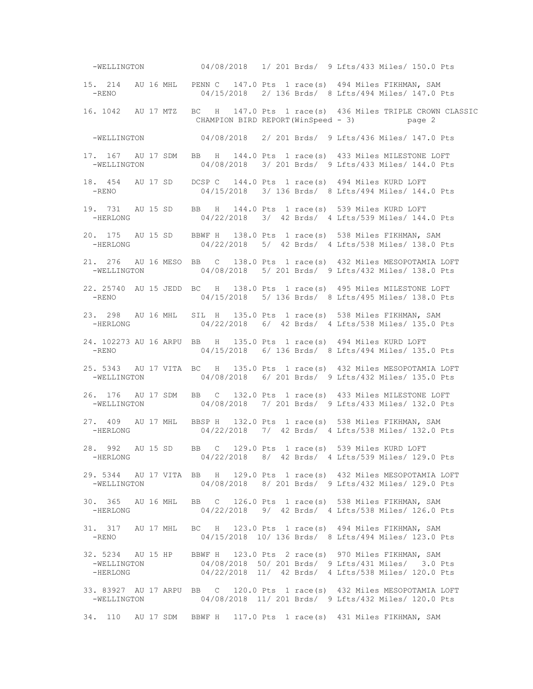-WELLINGTON 04/08/2018 1/ 201 Brds/ 9 Lfts/433 Miles/ 150.0 Pts 15. 214 AU 16 MHL PENN C 147.0 Pts 1 race(s) 494 Miles FIKHMAN, SAM -RENO 04/15/2018 2/ 136 Brds/ 8 Lfts/494 Miles/ 147.0 Pts 16. 1042 AU 17 MTZ BC H 147.0 Pts 1 race(s) 436 Miles TRIPLE CROWN CLASSIC CHAMPION BIRD REPORT(WinSpeed - 3) page 2 -WELLINGTON 04/08/2018 2/ 201 Brds/ 9 Lfts/436 Miles/ 147.0 Pts 17. 167 AU 17 SDM BB H 144.0 Pts 1 race(s) 433 Miles MILESTONE LOFT -WELLINGTON 04/08/2018 3/ 201 Brds/ 9 Lfts/433 Miles/ 144.0 Pts 18. 454 AU 17 SD DCSP C 144.0 Pts 1 race(s) 494 Miles KURD LOFT -RENO 04/15/2018 3/ 136 Brds/ 8 Lfts/494 Miles/ 144.0 Pts 19. 731 AU 15 SD BB H 144.0 Pts 1 race(s) 539 Miles KURD LOFT -HERLONG 04/22/2018 3/ 42 Brds/ 4 Lfts/539 Miles/ 144.0 Pts 20. 175 AU 15 SD BBWF H 138.0 Pts 1 race(s) 538 Miles FIKHMAN, SAM 04/22/2018 5/ 42 Brds/ 4 Lfts/538 Miles/ 138.0 Pts 21. 276 AU 16 MESO BB C 138.0 Pts 1 race(s) 432 Miles MESOPOTAMIA LOFT -WELLINGTON 04/08/2018 5/ 201 Brds/ 9 Lfts/432 Miles/ 138.0 Pts 22. 25740 AU 15 JEDD BC H 138.0 Pts 1 race(s) 495 Miles MILESTONE LOFT -RENO 04/15/2018 5/ 136 Brds/ 8 Lfts/495 Miles/ 138.0 Pts 23. 298 AU 16 MHL SIL H 135.0 Pts 1 race(s) 538 Miles FIKHMAN, SAM -HERLONG 04/22/2018 6/ 42 Brds/ 4 Lfts/538 Miles/ 135.0 Pts 24. 102273 AU 16 ARPU BB H 135.0 Pts 1 race(s) 494 Miles KURD LOFT -RENO 04/15/2018 6/ 136 Brds/ 8 Lfts/494 Miles/ 135.0 Pts 25. 5343 AU 17 VITA BC H 135.0 Pts 1 race(s) 432 Miles MESOPOTAMIA LOFT 04/08/2018 6/ 201 Brds/ 9 Lfts/432 Miles/ 135.0 Pts 26. 176 AU 17 SDM BB C 132.0 Pts 1 race(s) 433 Miles MILESTONE LOFT -WELLINGTON 04/08/2018 7/ 201 Brds/ 9 Lfts/433 Miles/ 132.0 Pts 27. 409 AU 17 MHL BBSP H 132.0 Pts 1 race(s) 538 Miles FIKHMAN, SAM -HERLONG 04/22/2018 7/ 42 Brds/ 4 Lfts/538 Miles/ 132.0 Pts 28. 992 AU 15 SD BB C 129.0 Pts 1 race(s) 539 Miles KURD LOFT -HERLONG 04/22/2018 8/ 42 Brds/ 4 Lfts/539 Miles/ 129.0 Pts 29. 5344 AU 17 VITA BB H 129.0 Pts 1 race(s) 432 Miles MESOPOTAMIA LOFT -WELLINGTON 04/08/2018 8/ 201 Brds/ 9 Lfts/432 Miles/ 129.0 Pts 30. 365 AU 16 MHL BB C 126.0 Pts 1 race(s) 538 Miles FIKHMAN, SAM -HERLONG 04/22/2018 9/ 42 Brds/ 4 Lfts/538 Miles/ 126.0 Pts 31. 317 AU 17 MHL BC H 123.0 Pts 1 race(s) 494 Miles FIKHMAN, SAM -RENO 04/15/2018 10/ 136 Brds/ 8 Lfts/494 Miles/ 123.0 Pts 32. 5234 AU 15 HP BBWF H 123.0 Pts 2 race(s) 970 Miles FIKHMAN, SAM -WELLINGTON 04/08/2018 50/ 201 Brds/ 9 Lfts/431 Miles/ 3.0 Pts -HERLONG 04/22/2018 11/ 42 Brds/ 4 Lfts/538 Miles/ 120.0 Pts 33. 83927 AU 17 ARPU BB C 120.0 Pts 1 race(s) 432 Miles MESOPOTAMIA LOFT -WELLINGTON 04/08/2018 11/ 201 Brds/ 9 Lfts/432 Miles/ 120.0 Pts 34. 110 AU 17 SDM BBWF H 117.0 Pts 1 race(s) 431 Miles FIKHMAN, SAM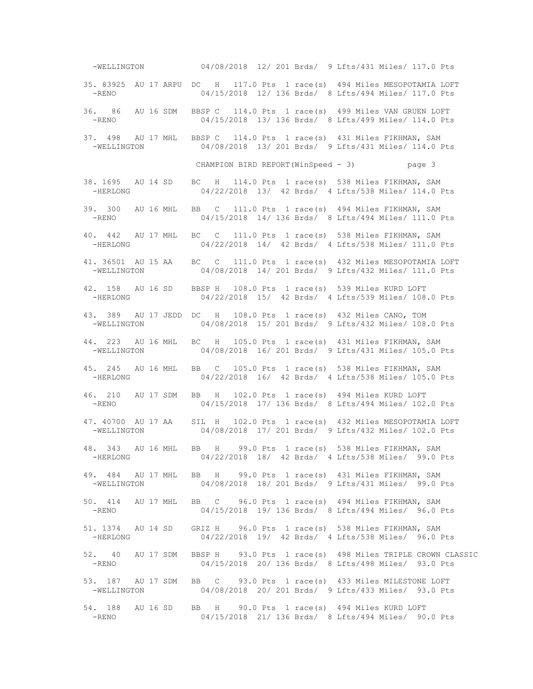-WELLINGTON 04/08/2018 12/ 201 Brds/ 9 Lfts/431 Miles/ 117.0 Pts 35. 83925 AU 17 ARPU DC H 117.0 Pts 1 race(s) 494 Miles MESOPOTAMIA LOFT -RENO 04/15/2018 12/ 136 Brds/ 8 Lfts/494 Miles/ 117.0 Pts 36. 86 AU 16 SDM BBSP C 114.0 Pts 1 race(s) 499 Miles VAN GRUEN LOFT -RENO 04/15/2018 13/ 136 Brds/ 8 Lfts/499 Miles/ 114.0 Pts 37. 498 AU 17 MHL BBSP C 114.0 Pts 1 race(s) 431 Miles FIKHMAN, SAM -WELLINGTON 04/08/2018 13/ 201 Brds/ 9 Lfts/431 Miles/ 114.0 Pts CHAMPION BIRD REPORT(WinSpeed - 3) page 3 38. 1695 AU 14 SD BC H 114.0 Pts 1 race(s) 538 Miles FIKHMAN, SAM 04/22/2018 13/ 42 Brds/ 4 Lfts/538 Miles/ 114.0 Pts 39. 300 AU 16 MHL BB C 111.0 Pts 1 race(s) 494 Miles FIKHMAN, SAM -RENO 04/15/2018 14/ 136 Brds/ 8 Lfts/494 Miles/ 111.0 Pts 40. 442 AU 17 MHL BC C 111.0 Pts 1 race(s) 538 Miles FIKHMAN, SAM 04/22/2018 14/ 42 Brds/ 4 Lfts/538 Miles/ 111.0 Pts 41. 36501 AU 15 AA BC C 111.0 Pts 1 race(s) 432 Miles MESOPOTAMIA LOFT -WELLINGTON 04/08/2018 14/ 201 Brds/ 9 Lfts/432 Miles/ 111.0 Pts 42. 158 AU 16 SD BBSP H 108.0 Pts 1 race(s) 539 Miles KURD LOFT -HERLONG 04/22/2018 15/ 42 Brds/ 4 Lfts/539 Miles/ 108.0 Pts 43. 389 AU 17 JEDD DC H 108.0 Pts 1 race(s) 432 Miles CANO, TOM -WELLINGTON 04/08/2018 15/ 201 Brds/ 9 Lfts/432 Miles/ 108.0 Pts 44. 223 AU 16 MHL BC H 105.0 Pts 1 race(s) 431 Miles FIKHMAN, SAM -WELLINGTON 04/08/2018 16/ 201 Brds/ 9 Lfts/431 Miles/ 105.0 Pts 45. 245 AU 16 MHL BB C 105.0 Pts 1 race(s) 538 Miles FIKHMAN, SAM 04/22/2018 16/ 42 Brds/ 4 Lfts/538 Miles/ 105.0 Pts 46. 210 AU 17 SDM BB H 102.0 Pts 1 race(s) 494 Miles KURD LOFT -RENO 04/15/2018 17/ 136 Brds/ 8 Lfts/494 Miles/ 102.0 Pts 47. 40700 AU 17 AA SIL H 102.0 Pts 1 race(s) 432 Miles MESOPOTAMIA LOFT -WELLINGTON 04/08/2018 17/ 201 Brds/ 9 Lfts/432 Miles/ 102.0 Pts 48. 343 AU 16 MHL BB H 99.0 Pts 1 race(s) 538 Miles FIKHMAN, SAM 04/22/2018 18/ 42 Brds/ 4 Lfts/538 Miles/ 99.0 Pts 49. 484 AU 17 MHL BB H 99.0 Pts 1 race(s) 431 Miles FIKHMAN, SAM -WELLINGTON 04/08/2018 18/ 201 Brds/ 9 Lfts/431 Miles/ 99.0 Pts 50. 414 AU 17 MHL BB C 96.0 Pts 1 race(s) 494 Miles FIKHMAN, SAM -RENO 04/15/2018 19/ 136 Brds/ 8 Lfts/494 Miles/ 96.0 Pts 51. 1374 AU 14 SD GRIZ H 96.0 Pts 1 race(s) 538 Miles FIKHMAN, SAM -HERLONG 04/22/2018 19/ 42 Brds/ 4 Lfts/538 Miles/ 96.0 Pts 52. 40 AU 17 SDM BBSP H 93.0 Pts 1 race(s) 498 Miles TRIPLE CROWN CLASSIC -RENO 04/15/2018 20/ 136 Brds/ 8 Lfts/498 Miles/ 93.0 Pts 53. 187 AU 17 SDM BB C 93.0 Pts 1 race(s) 433 Miles MILESTONE LOFT -WELLINGTON 04/08/2018 20/ 201 Brds/ 9 Lfts/433 Miles/ 93.0 Pts 54. 188 AU 16 SD BB H 90.0 Pts 1 race(s) 494 Miles KURD LOFT 04/15/2018 21/ 136 Brds/ 8 Lfts/494 Miles/ 90.0 Pts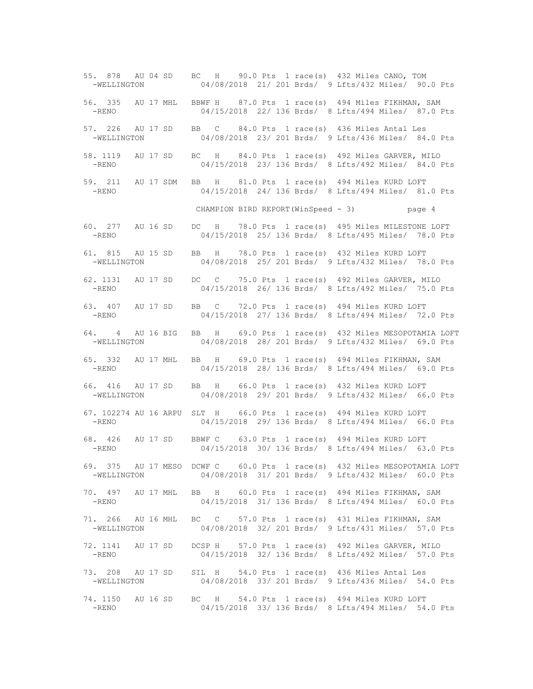55. 878 AU 04 SD BC H 90.0 Pts 1 race(s) 432 Miles CANO, TOM -WELLINGTON 04/08/2018 21/ 201 Brds/ 9 Lfts/432 Miles/ 90.0 Pts 56. 335 AU 17 MHL BBWF H 87.0 Pts 1 race(s) 494 Miles FIKHMAN, SAM -RENO 04/15/2018 22/ 136 Brds/ 8 Lfts/494 Miles/ 87.0 Pts 57. 226 AU 17 SD BB C 84.0 Pts 1 race(s) 436 Miles Antal Les -WELLINGTON 04/08/2018 23/ 201 Brds/ 9 Lfts/436 Miles/ 84.0 Pts 58. 1119 AU 17 SD BC H 84.0 Pts 1 race(s) 492 Miles GARVER, MILO -RENO 04/15/2018 23/ 136 Brds/ 8 Lfts/492 Miles/ 84.0 Pts 59. 211 AU 17 SDM BB H 81.0 Pts 1 race(s) 494 Miles KURD LOFT -RENO 04/15/2018 24/ 136 Brds/ 8 Lfts/494 Miles/ 81.0 Pts CHAMPION BIRD REPORT(WinSpeed - 3) page 4 60. 277 AU 16 SD DC H 78.0 Pts 1 race(s) 495 Miles MILESTONE LOFT 04/15/2018 25/ 136 Brds/ 8 Lfts/495 Miles/ 78.0 Pts 61. 815 AU 15 SD BB H 78.0 Pts 1 race(s) 432 Miles KURD LOFT -WELLINGTON 04/08/2018 25/ 201 Brds/ 9 Lfts/432 Miles/ 78.0 Pts 62. 1131 AU 17 SD DC C 75.0 Pts 1 race(s) 492 Miles GARVER, MILO -RENO 04/15/2018 26/ 136 Brds/ 8 Lfts/492 Miles/ 75.0 Pts 63. 407 AU 17 SD BB C 72.0 Pts 1 race(s) 494 Miles KURD LOFT<br>-RENO 04/15/2018 27/ 136 Brds/ 8 Lfts/494 Miles/ 72 04/15/2018 27/ 136 Brds/ 8 Lfts/494 Miles/ 72.0 Pts 64. 4 AU 16 BIG BB H 69.0 Pts 1 race(s) 432 Miles MESOPOTAMIA LOFT -WELLINGTON 04/08/2018 28/ 201 Brds/ 9 Lfts/432 Miles/ 69.0 Pts 65. 332 AU 17 MHL BB H 69.0 Pts 1 race(s) 494 Miles FIKHMAN, SAM 04/15/2018 28/ 136 Brds/ 8 Lfts/494 Miles/ 69.0 Pts 66. 416 AU 17 SD BB H 66.0 Pts 1 race(s) 432 Miles KURD LOFT -WELLINGTON 04/08/2018 29/ 201 Brds/ 9 Lfts/432 Miles/ 66.0 Pts 67. 102274 AU 16 ARPU SLT H 66.0 Pts 1 race(s) 494 Miles KURD LOFT -RENO 04/15/2018 29/ 136 Brds/ 8 Lfts/494 Miles/ 66.0 Pts 68. 426 AU 17 SD BBWF C 63.0 Pts 1 race(s) 494 Miles KURD LOFT -RENO 04/15/2018 30/ 136 Brds/ 8 Lfts/494 Miles/ 63.0 Pts 69. 375 AU 17 MESO DCWF C 60.0 Pts 1 race(s) 432 Miles MESOPOTAMIA LOFT -WELLINGTON 04/08/2018 31/ 201 Brds/ 9 Lfts/432 Miles/ 60.0 Pts 70. 497 AU 17 MHL BB H 60.0 Pts 1 race(s) 494 Miles FIKHMAN, SAM 04/15/2018 31/ 136 Brds/ 8 Lfts/494 Miles/ 60.0 Pts 71. 266 AU 16 MHL BC C 57.0 Pts 1 race(s) 431 Miles FIKHMAN, SAM -WELLINGTON 04/08/2018 32/ 201 Brds/ 9 Lfts/431 Miles/ 57.0 Pts 72. 1141 AU 17 SD DCSP H 57.0 Pts 1 race(s) 492 Miles GARVER, MILO 04/15/2018 32/ 136 Brds/ 8 Lfts/492 Miles/ 57.0 Pts 73. 208 AU 17 SD SIL H 54.0 Pts 1 race(s) 436 Miles Antal Les -WELLINGTON 04/08/2018 33/ 201 Brds/ 9 Lfts/436 Miles/ 54.0 Pts 74. 1150 AU 16 SD BC H 54.0 Pts 1 race(s) 494 Miles KURD LOFT 04/15/2018 33/ 136 Brds/ 8 Lfts/494 Miles/ 54.0 Pts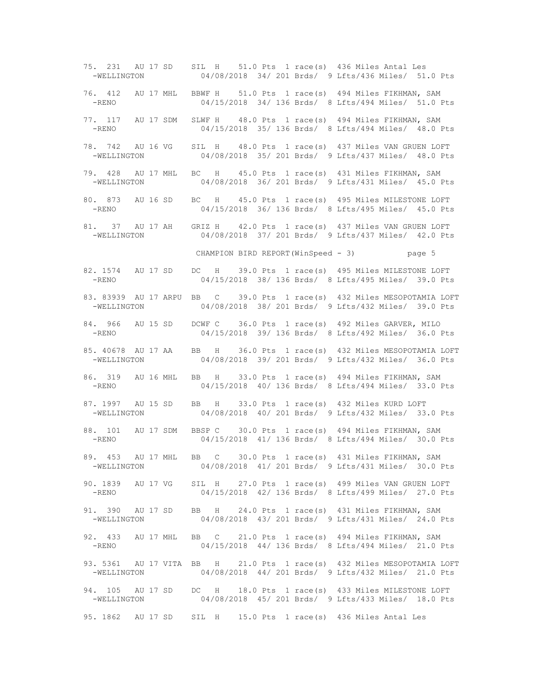75. 231 AU 17 SD SIL H 51.0 Pts 1 race(s) 436 Miles Antal Les -WELLINGTON 04/08/2018 34/ 201 Brds/ 9 Lfts/436 Miles/ 51.0 Pts 76. 412 AU 17 MHL BBWF H 51.0 Pts 1 race(s) 494 Miles FIKHMAN, SAM -RENO 04/15/2018 34/ 136 Brds/ 8 Lfts/494 Miles/ 51.0 Pts 77. 117 AU 17 SDM SLWF H 48.0 Pts 1 race(s) 494 Miles FIKHMAN, SAM -RENO 04/15/2018 35/ 136 Brds/ 8 Lfts/494 Miles/ 48.0 Pts 78. 742 AU 16 VG SIL H 48.0 Pts 1 race(s) 437 Miles VAN GRUEN LOFT -WELLINGTON 04/08/2018 35/ 201 Brds/ 9 Lfts/437 Miles/ 48.0 Pts 79. 428 AU 17 MHL BC H 45.0 Pts 1 race(s) 431 Miles FIKHMAN, SAM -WELLINGTON 04/08/2018 36/ 201 Brds/ 9 Lfts/431 Miles/ 45.0 Pts 80. 873 AU 16 SD BC H 45.0 Pts 1 race(s) 495 Miles MILESTONE LOFT -RENO 04/15/2018 36/ 136 Brds/ 8 Lfts/495 Miles/ 45.0 Pts 81. 37 AU 17 AH GRIZ H 42.0 Pts 1 race(s) 437 Miles VAN GRUEN LOFT<br>-WELLINGTON 04/08/2018 37/ 201 Brds/ 9 Lfts/437 Miles/ 42.0 Pts 04/08/2018 37/ 201 Brds/ 9 Lfts/437 Miles/ 42.0 Pts CHAMPION BIRD REPORT(WinSpeed - 3) page 5 82. 1574 AU 17 SD DC H 39.0 Pts 1 race(s) 495 Miles MILESTONE LOFT -RENO 04/15/2018 38/ 136 Brds/ 8 Lfts/495 Miles/ 39.0 Pts 83. 83939 AU 17 ARPU BB C 39.0 Pts 1 race(s) 432 Miles MESOPOTAMIA LOFT -WELLINGTON 04/08/2018 38/ 201 Brds/ 9 Lfts/432 Miles/ 39.0 Pts 84. 966 AU 15 SD DCWF C 36.0 Pts 1 race(s) 492 Miles GARVER, MILO -RENO 04/15/2018 39/ 136 Brds/ 8 Lfts/492 Miles/ 36.0 Pts 85. 40678 AU 17 AA BB H 36.0 Pts 1 race(s) 432 Miles MESOPOTAMIA LOFT -WELLINGTON 04/08/2018 39/ 201 Brds/ 9 Lfts/432 Miles/ 36.0 Pts 86. 319 AU 16 MHL BB H 33.0 Pts 1 race(s) 494 Miles FIKHMAN, SAM 04/15/2018 40/ 136 Brds/ 8 Lfts/494 Miles/ 33.0 Pts 87. 1997 AU 15 SD BB H 33.0 Pts 1 race(s) 432 Miles KURD LOFT -WELLINGTON 04/08/2018 40/ 201 Brds/ 9 Lfts/432 Miles/ 33.0 Pts 88. 101 AU 17 SDM BBSP C 30.0 Pts 1 race(s) 494 Miles FIKHMAN, SAM -RENO 04/15/2018 41/ 136 Brds/ 8 Lfts/494 Miles/ 30.0 Pts 89. 453 AU 17 MHL BB C 30.0 Pts 1 race(s) 431 Miles FIKHMAN, SAM -WELLINGTON 04/08/2018 41/ 201 Brds/ 9 Lfts/431 Miles/ 30.0 Pts 90. 1839 AU 17 VG SIL H 27.0 Pts 1 race(s) 499 Miles VAN GRUEN LOFT 04/15/2018 42/ 136 Brds/ 8 Lfts/499 Miles/ 27.0 Pts 91. 390 AU 17 SD BB H 24.0 Pts 1 race(s) 431 Miles FIKHMAN, SAM -WELLINGTON 04/08/2018 43/ 201 Brds/ 9 Lfts/431 Miles/ 24.0 Pts 92. 433 AU 17 MHL BB C 21.0 Pts 1 race(s) 494 Miles FIKHMAN, SAM -RENO 04/15/2018 44/ 136 Brds/ 8 Lfts/494 Miles/ 21.0 Pts 93. 5361 AU 17 VITA BB H 21.0 Pts 1 race(s) 432 Miles MESOPOTAMIA LOFT -WELLINGTON 04/08/2018 44/ 201 Brds/ 9 Lfts/432 Miles/ 21.0 Pts 94. 105 AU 17 SD DC H 18.0 Pts 1 race(s) 433 Miles MILESTONE LOFT -WELLINGTON 04/08/2018 45/ 201 Brds/ 9 Lfts/433 Miles/ 18.0 Pts 95. 1862 AU 17 SD SIL H 15.0 Pts 1 race(s) 436 Miles Antal Les